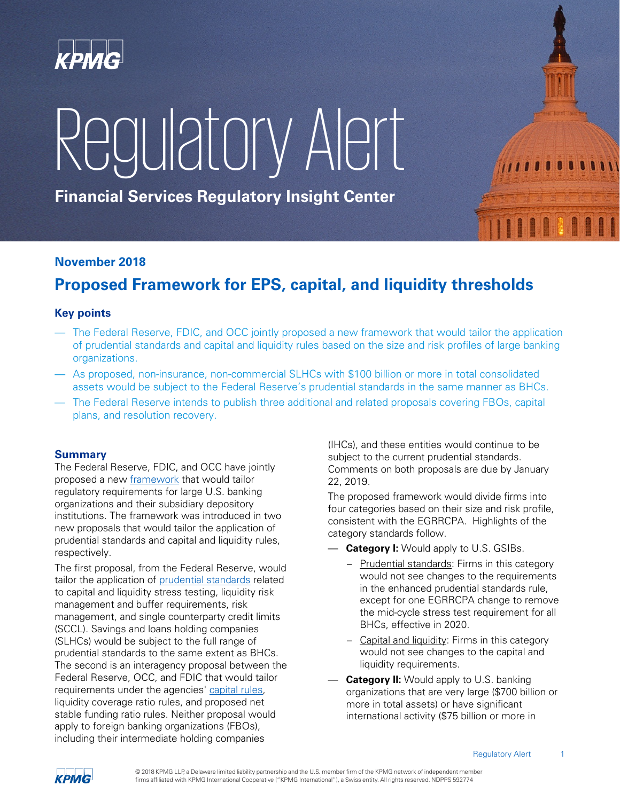

# RegulatoryAlert

**Financial Services Regulatory Insight Center**

# **November 2018**

# **Proposed Framework for EPS, capital, and liquidity thresholds**

## **Key points**

- The Federal Reserve, FDIC, and OCC jointly proposed a new framework that would tailor the application of prudential standards and capital and liquidity rules based on the size and risk profiles of large banking organizations.
- As proposed, non-insurance, non-commercial SLHCs with \$100 billion or more in total consolidated assets would be subject to the Federal Reserve's prudential standards in the same manner as BHCs.
- The Federal Reserve intends to publish three additional and related proposals covering FBOs, capital plans, and resolution recovery.

### **Summary**

The Federal Reserve, FDIC, and OCC have jointly proposed a new [framework](http://app.info.kpmgrealinsights.com/e/er?s=1929796114&lid=15516&elqTrackId=5c0e90d851964029aae43b4feb9ef200&elq=ddaece665e924c0ea66b42beb24b648a&elqaid=6337&elqat=1) that would tailor regulatory requirements for large U.S. banking organizations and their subsidiary depository institutions. The framework was introduced in two new proposals that would tailor the application of prudential standards and capital and liquidity rules, respectively.

The first proposal, from the Federal Reserve, would tailor the application of [prudential standards](http://app.info.kpmgrealinsights.com/e/er?s=1929796114&lid=15921&elqTrackId=def690f38b774b8b8c8931d6d2b5fef2&elq=ddaece665e924c0ea66b42beb24b648a&elqaid=6337&elqat=1) related to capital and liquidity stress testing, liquidity risk management and buffer requirements, risk management, and single counterparty credit limits (SCCL). Savings and loans holding companies (SLHCs) would be subject to the full range of prudential standards to the same extent as BHCs. The second is an interagency proposal between the Federal Reserve, OCC, and FDIC that would tailor requirements under the agencies' [capital rules,](http://app.info.kpmgrealinsights.com/e/er?s=1929796114&lid=15920&elqTrackId=1087a508772c4d3d9d084f2ff9377ac7&elq=ddaece665e924c0ea66b42beb24b648a&elqaid=6337&elqat=1) liquidity coverage ratio rules, and proposed net stable funding ratio rules. Neither proposal would apply to foreign banking organizations (FBOs), including their intermediate holding companies

(IHCs), and these entities would continue to be subject to the current prudential standards. Comments on both proposals are due by January 22, 2019.

The proposed framework would divide firms into four categories based on their size and risk profile, consistent with the EGRRCPA. Highlights of the category standards follow.

- **Category I:** Would apply to U.S. GSIBs.
	- Prudential standards: Firms in this category would not see changes to the requirements in the enhanced prudential standards rule, except for one EGRRCPA change to remove the mid-cycle stress test requirement for all BHCs, effective in 2020.
	- Capital and liquidity: Firms in this category would not see changes to the capital and liquidity requirements.
- **Category II:** Would apply to U.S. banking organizations that are very large (\$700 billion or more in total assets) or have significant international activity (\$75 billion or more in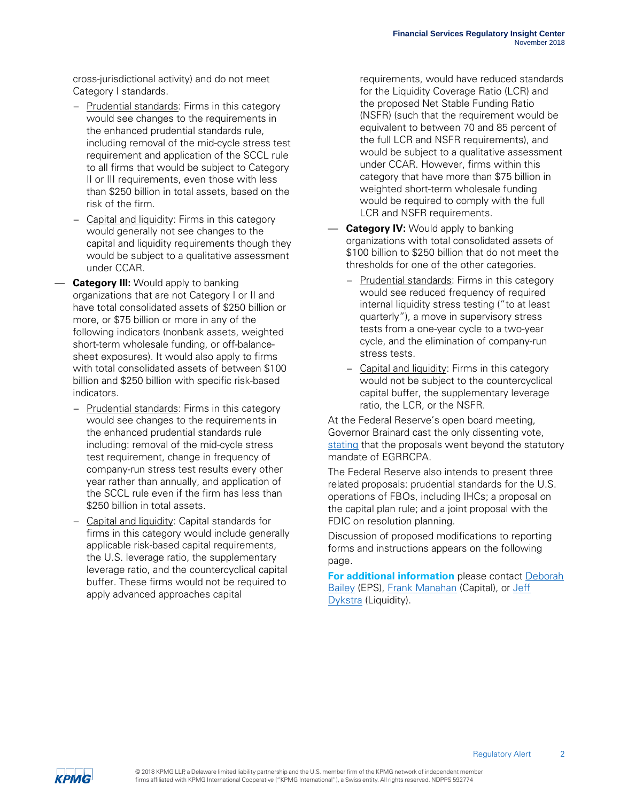cross-jurisdictional activity) and do not meet Category I standards.

- Prudential standards: Firms in this category would see changes to the requirements in the enhanced prudential standards rule, including removal of the mid-cycle stress test requirement and application of the SCCL rule to all firms that would be subject to Category II or III requirements, even those with less than \$250 billion in total assets, based on the risk of the firm.
- Capital and liquidity: Firms in this category would generally not see changes to the capital and liquidity requirements though they would be subject to a qualitative assessment under CCAR.
- **Category III:** Would apply to banking organizations that are not Category I or II and have total consolidated assets of \$250 billion or more, or \$75 billion or more in any of the following indicators (nonbank assets, weighted short-term wholesale funding, or off-balancesheet exposures). It would also apply to firms with total consolidated assets of between \$100 billion and \$250 billion with specific risk-based indicators.
	- Prudential standards: Firms in this category would see changes to the requirements in the enhanced prudential standards rule including: removal of the mid-cycle stress test requirement, change in frequency of company-run stress test results every other year rather than annually, and application of the SCCL rule even if the firm has less than \$250 billion in total assets.
	- Capital and liquidity: Capital standards for firms in this category would include generally applicable risk-based capital requirements, the U.S. leverage ratio, the supplementary leverage ratio, and the countercyclical capital buffer. These firms would not be required to apply advanced approaches capital

requirements, would have reduced standards for the Liquidity Coverage Ratio (LCR) and the proposed Net Stable Funding Ratio (NSFR) (such that the requirement would be equivalent to between 70 and 85 percent of the full LCR and NSFR requirements), and would be subject to a qualitative assessment under CCAR. However, firms within this category that have more than \$75 billion in weighted short-term wholesale funding would be required to comply with the full LCR and NSFR requirements.

- **Category IV:** Would apply to banking organizations with total consolidated assets of \$100 billion to \$250 billion that do not meet the thresholds for one of the other categories.
	- Prudential standards: Firms in this category would see reduced frequency of required internal liquidity stress testing ("to at least quarterly"), a move in supervisory stress tests from a one-year cycle to a two-year cycle, and the elimination of company-run stress tests.
	- Capital and liquidity: Firms in this category would not be subject to the countercyclical capital buffer, the supplementary leverage ratio, the LCR, or the NSFR.

At the Federal Reserve's open board meeting, Governor Brainard cast the only dissenting vote, [stating](http://app.info.kpmgrealinsights.com/e/er?s=1929796114&lid=15919&elqTrackId=1d2b69ec6318407c9e3ce748430f8679&elq=ddaece665e924c0ea66b42beb24b648a&elqaid=6337&elqat=1) that the proposals went beyond the statutory mandate of EGRRCPA.

The Federal Reserve also intends to present three related proposals: prudential standards for the U.S. operations of FBOs, including IHCs; a proposal on the capital plan rule; and a joint proposal with the FDIC on resolution planning.

Discussion of proposed modifications to reporting forms and instructions appears on the following page.

**For additional information** please contact [Deborah](mailto:dpbailey@kpmg.com) [Bailey](mailto:dpbailey@kpmg.com) (EPS), [Frank Manahan](mailto:fjmanahan@kpmg.com) (Capital), or Jeff [Dykstra](mailto:jdykstra@kpmg.com) (Liquidity).